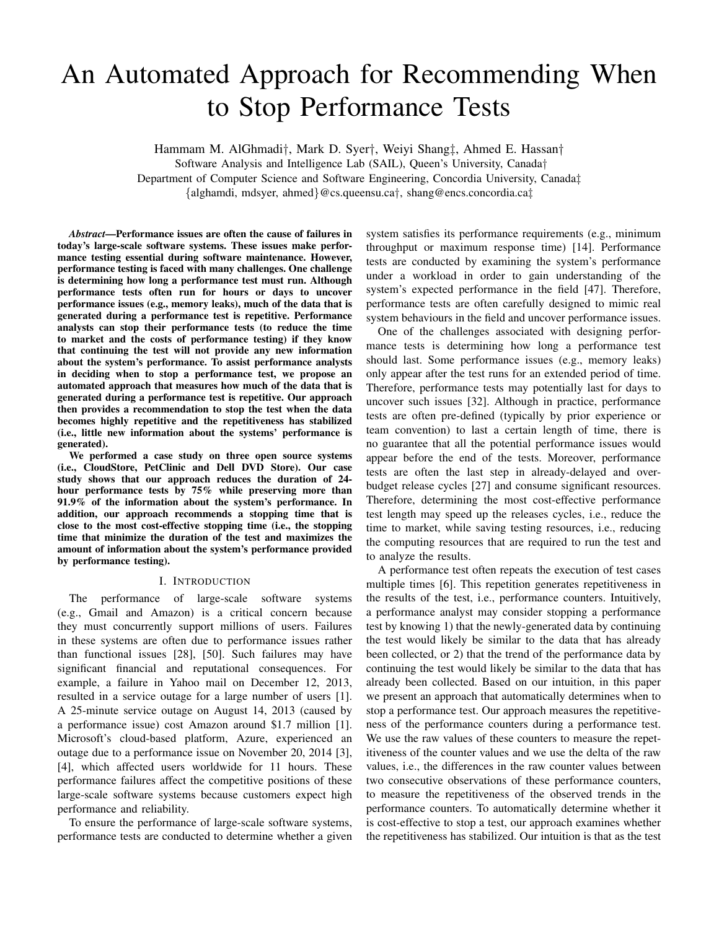# An Automated Approach for Recommending When to Stop Performance Tests

Hammam M. AlGhmadi*†*, Mark D. Syer*†*, Weiyi Shang*‡*, Ahmed E. Hassan*†* Software Analysis and Intelligence Lab (SAIL), Queen's University, Canada*†* Department of Computer Science and Software Engineering, Concordia University, Canada*‡ {*alghamdi, mdsyer, ahmed*}*@cs.queensu.ca*†*, shang@encs.concordia.ca*‡*

*Abstract*—Performance issues are often the cause of failures in today's large-scale software systems. These issues make performance testing essential during software maintenance. However, performance testing is faced with many challenges. One challenge is determining how long a performance test must run. Although performance tests often run for hours or days to uncover performance issues (e.g., memory leaks), much of the data that is generated during a performance test is repetitive. Performance analysts can stop their performance tests (to reduce the time to market and the costs of performance testing) if they know that continuing the test will not provide any new information about the system's performance. To assist performance analysts in deciding when to stop a performance test, we propose an automated approach that measures how much of the data that is generated during a performance test is repetitive. Our approach then provides a recommendation to stop the test when the data becomes highly repetitive and the repetitiveness has stabilized (i.e., little new information about the systems' performance is generated).

We performed a case study on three open source systems (i.e., CloudStore, PetClinic and Dell DVD Store). Our case study shows that our approach reduces the duration of 24 hour performance tests by 75% while preserving more than 91.9% of the information about the system's performance. In addition, our approach recommends a stopping time that is close to the most cost-effective stopping time (i.e., the stopping time that minimize the duration of the test and maximizes the amount of information about the system's performance provided by performance testing).

#### I. INTRODUCTION

The performance of large-scale software systems (e.g., Gmail and Amazon) is a critical concern because they must concurrently support millions of users. Failures in these systems are often due to performance issues rather than functional issues [28], [50]. Such failures may have significant financial and reputational consequences. For example, a failure in Yahoo mail on December 12, 2013, resulted in a service outage for a large number of users [1]. A 25-minute service outage on August 14, 2013 (caused by a performance issue) cost Amazon around \$1.7 million [1]. Microsoft's cloud-based platform, Azure, experienced an outage due to a performance issue on November 20, 2014 [3], [4], which affected users worldwide for 11 hours. These performance failures affect the competitive positions of these large-scale software systems because customers expect high performance and reliability.

To ensure the performance of large-scale software systems, performance tests are conducted to determine whether a given system satisfies its performance requirements (e.g., minimum throughput or maximum response time) [14]. Performance tests are conducted by examining the system's performance under a workload in order to gain understanding of the system's expected performance in the field [47]. Therefore, performance tests are often carefully designed to mimic real system behaviours in the field and uncover performance issues.

One of the challenges associated with designing performance tests is determining how long a performance test should last. Some performance issues (e.g., memory leaks) only appear after the test runs for an extended period of time. Therefore, performance tests may potentially last for days to uncover such issues [32]. Although in practice, performance tests are often pre-defined (typically by prior experience or team convention) to last a certain length of time, there is no guarantee that all the potential performance issues would appear before the end of the tests. Moreover, performance tests are often the last step in already-delayed and overbudget release cycles [27] and consume significant resources. Therefore, determining the most cost-effective performance test length may speed up the releases cycles, i.e., reduce the time to market, while saving testing resources, i.e., reducing the computing resources that are required to run the test and to analyze the results.

A performance test often repeats the execution of test cases multiple times [6]. This repetition generates repetitiveness in the results of the test, i.e., performance counters. Intuitively, a performance analyst may consider stopping a performance test by knowing 1) that the newly-generated data by continuing the test would likely be similar to the data that has already been collected, or 2) that the trend of the performance data by continuing the test would likely be similar to the data that has already been collected. Based on our intuition, in this paper we present an approach that automatically determines when to stop a performance test. Our approach measures the repetitiveness of the performance counters during a performance test. We use the raw values of these counters to measure the repetitiveness of the counter values and we use the delta of the raw values, i.e., the differences in the raw counter values between two consecutive observations of these performance counters, to measure the repetitiveness of the observed trends in the performance counters. To automatically determine whether it is cost-effective to stop a test, our approach examines whether the repetitiveness has stabilized. Our intuition is that as the test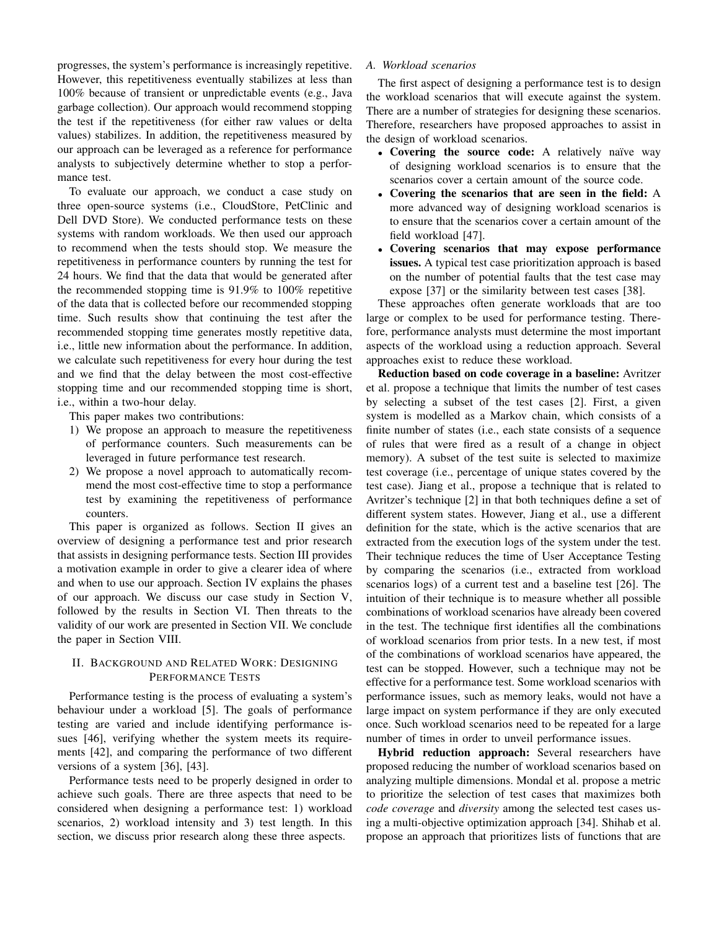progresses, the system's performance is increasingly repetitive. However, this repetitiveness eventually stabilizes at less than 100% because of transient or unpredictable events (e.g., Java garbage collection). Our approach would recommend stopping the test if the repetitiveness (for either raw values or delta values) stabilizes. In addition, the repetitiveness measured by our approach can be leveraged as a reference for performance analysts to subjectively determine whether to stop a performance test.

To evaluate our approach, we conduct a case study on three open-source systems (i.e., CloudStore, PetClinic and Dell DVD Store). We conducted performance tests on these systems with random workloads. We then used our approach to recommend when the tests should stop. We measure the repetitiveness in performance counters by running the test for 24 hours. We find that the data that would be generated after the recommended stopping time is 91.9% to 100% repetitive of the data that is collected before our recommended stopping time. Such results show that continuing the test after the recommended stopping time generates mostly repetitive data, i.e., little new information about the performance. In addition, we calculate such repetitiveness for every hour during the test and we find that the delay between the most cost-effective stopping time and our recommended stopping time is short, i.e., within a two-hour delay.

This paper makes two contributions:

- 1) We propose an approach to measure the repetitiveness of performance counters. Such measurements can be leveraged in future performance test research.
- 2) We propose a novel approach to automatically recommend the most cost-effective time to stop a performance test by examining the repetitiveness of performance counters.

This paper is organized as follows. Section II gives an overview of designing a performance test and prior research that assists in designing performance tests. Section III provides a motivation example in order to give a clearer idea of where and when to use our approach. Section IV explains the phases of our approach. We discuss our case study in Section V, followed by the results in Section VI. Then threats to the validity of our work are presented in Section VII. We conclude the paper in Section VIII.

# II. BACKGROUND AND RELATED WORK: DESIGNING PERFORMANCE TESTS

Performance testing is the process of evaluating a system's behaviour under a workload [5]. The goals of performance testing are varied and include identifying performance issues [46], verifying whether the system meets its requirements [42], and comparing the performance of two different versions of a system [36], [43].

Performance tests need to be properly designed in order to achieve such goals. There are three aspects that need to be considered when designing a performance test: 1) workload scenarios, 2) workload intensity and 3) test length. In this section, we discuss prior research along these three aspects.

# *A. Workload scenarios*

The first aspect of designing a performance test is to design the workload scenarios that will execute against the system. There are a number of strategies for designing these scenarios. Therefore, researchers have proposed approaches to assist in the design of workload scenarios.

- Covering the source code: A relatively naïve way of designing workload scenarios is to ensure that the scenarios cover a certain amount of the source code.
- *•* Covering the scenarios that are seen in the field: A more advanced way of designing workload scenarios is to ensure that the scenarios cover a certain amount of the field workload [47].
- *•* Covering scenarios that may expose performance issues. A typical test case prioritization approach is based on the number of potential faults that the test case may expose [37] or the similarity between test cases [38].

These approaches often generate workloads that are too large or complex to be used for performance testing. Therefore, performance analysts must determine the most important aspects of the workload using a reduction approach. Several approaches exist to reduce these workload.

Reduction based on code coverage in a baseline: Avritzer et al. propose a technique that limits the number of test cases by selecting a subset of the test cases [2]. First, a given system is modelled as a Markov chain, which consists of a finite number of states (i.e., each state consists of a sequence of rules that were fired as a result of a change in object memory). A subset of the test suite is selected to maximize test coverage (i.e., percentage of unique states covered by the test case). Jiang et al., propose a technique that is related to Avritzer's technique [2] in that both techniques define a set of different system states. However, Jiang et al., use a different definition for the state, which is the active scenarios that are extracted from the execution logs of the system under the test. Their technique reduces the time of User Acceptance Testing by comparing the scenarios (i.e., extracted from workload scenarios logs) of a current test and a baseline test [26]. The intuition of their technique is to measure whether all possible combinations of workload scenarios have already been covered in the test. The technique first identifies all the combinations of workload scenarios from prior tests. In a new test, if most of the combinations of workload scenarios have appeared, the test can be stopped. However, such a technique may not be effective for a performance test. Some workload scenarios with performance issues, such as memory leaks, would not have a large impact on system performance if they are only executed once. Such workload scenarios need to be repeated for a large number of times in order to unveil performance issues.

Hybrid reduction approach: Several researchers have proposed reducing the number of workload scenarios based on analyzing multiple dimensions. Mondal et al. propose a metric to prioritize the selection of test cases that maximizes both *code coverage* and *diversity* among the selected test cases using a multi-objective optimization approach [34]. Shihab et al. propose an approach that prioritizes lists of functions that are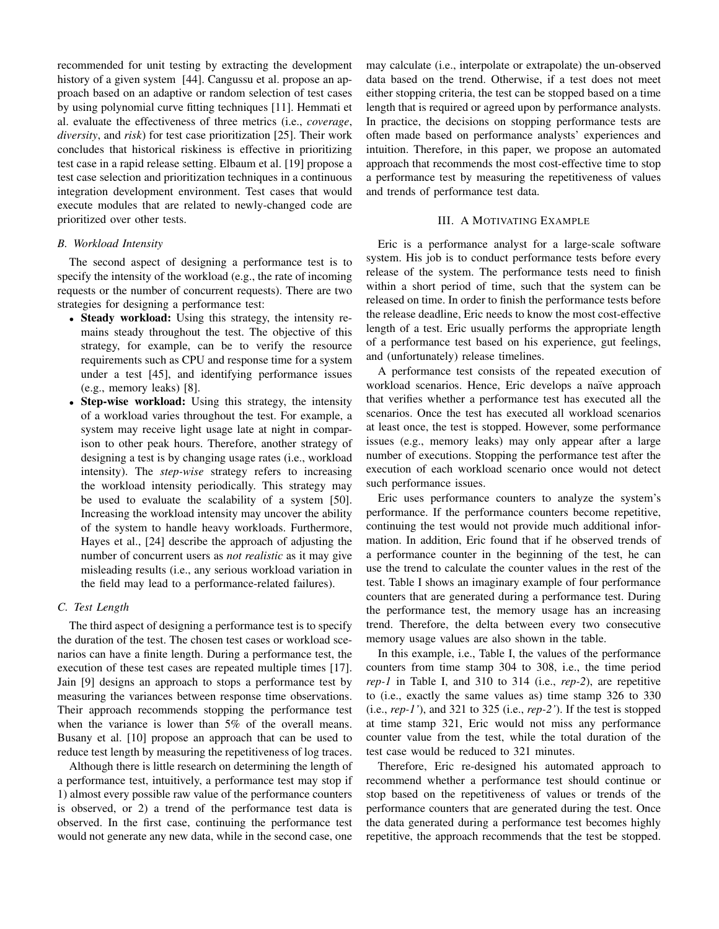recommended for unit testing by extracting the development history of a given system [44]. Cangussu et al. propose an approach based on an adaptive or random selection of test cases by using polynomial curve fitting techniques [11]. Hemmati et al. evaluate the effectiveness of three metrics (i.e., *coverage*, *diversity*, and *risk*) for test case prioritization [25]. Their work concludes that historical riskiness is effective in prioritizing test case in a rapid release setting. Elbaum et al. [19] propose a test case selection and prioritization techniques in a continuous integration development environment. Test cases that would execute modules that are related to newly-changed code are prioritized over other tests.

## *B. Workload Intensity*

The second aspect of designing a performance test is to specify the intensity of the workload (e.g., the rate of incoming requests or the number of concurrent requests). There are two strategies for designing a performance test:

- Steady workload: Using this strategy, the intensity remains steady throughout the test. The objective of this strategy, for example, can be to verify the resource requirements such as CPU and response time for a system under a test [45], and identifying performance issues (e.g., memory leaks) [8].
- Step-wise workload: Using this strategy, the intensity of a workload varies throughout the test. For example, a system may receive light usage late at night in comparison to other peak hours. Therefore, another strategy of designing a test is by changing usage rates (i.e., workload intensity). The *step-wise* strategy refers to increasing the workload intensity periodically. This strategy may be used to evaluate the scalability of a system [50]. Increasing the workload intensity may uncover the ability of the system to handle heavy workloads. Furthermore, Hayes et al., [24] describe the approach of adjusting the number of concurrent users as *not realistic* as it may give misleading results (i.e., any serious workload variation in the field may lead to a performance-related failures).

## *C. Test Length*

The third aspect of designing a performance test is to specify the duration of the test. The chosen test cases or workload scenarios can have a finite length. During a performance test, the execution of these test cases are repeated multiple times [17]. Jain [9] designs an approach to stops a performance test by measuring the variances between response time observations. Their approach recommends stopping the performance test when the variance is lower than 5% of the overall means. Busany et al. [10] propose an approach that can be used to reduce test length by measuring the repetitiveness of log traces.

Although there is little research on determining the length of a performance test, intuitively, a performance test may stop if 1) almost every possible raw value of the performance counters is observed, or 2) a trend of the performance test data is observed. In the first case, continuing the performance test would not generate any new data, while in the second case, one

may calculate (i.e., interpolate or extrapolate) the un-observed data based on the trend. Otherwise, if a test does not meet either stopping criteria, the test can be stopped based on a time length that is required or agreed upon by performance analysts. In practice, the decisions on stopping performance tests are often made based on performance analysts' experiences and intuition. Therefore, in this paper, we propose an automated approach that recommends the most cost-effective time to stop a performance test by measuring the repetitiveness of values and trends of performance test data.

#### III. A MOTIVATING EXAMPLE

Eric is a performance analyst for a large-scale software system. His job is to conduct performance tests before every release of the system. The performance tests need to finish within a short period of time, such that the system can be released on time. In order to finish the performance tests before the release deadline, Eric needs to know the most cost-effective length of a test. Eric usually performs the appropriate length of a performance test based on his experience, gut feelings, and (unfortunately) release timelines.

A performance test consists of the repeated execution of workload scenarios. Hence, Eric develops a naïve approach that verifies whether a performance test has executed all the scenarios. Once the test has executed all workload scenarios at least once, the test is stopped. However, some performance issues (e.g., memory leaks) may only appear after a large number of executions. Stopping the performance test after the execution of each workload scenario once would not detect such performance issues.

Eric uses performance counters to analyze the system's performance. If the performance counters become repetitive, continuing the test would not provide much additional information. In addition, Eric found that if he observed trends of a performance counter in the beginning of the test, he can use the trend to calculate the counter values in the rest of the test. Table I shows an imaginary example of four performance counters that are generated during a performance test. During the performance test, the memory usage has an increasing trend. Therefore, the delta between every two consecutive memory usage values are also shown in the table.

In this example, i.e., Table I, the values of the performance counters from time stamp 304 to 308, i.e., the time period *rep-1* in Table I, and 310 to 314 (i.e., *rep-2*), are repetitive to (i.e., exactly the same values as) time stamp 326 to 330 (i.e., *rep-1'*), and 321 to 325 (i.e., *rep-2'*). If the test is stopped at time stamp 321, Eric would not miss any performance counter value from the test, while the total duration of the test case would be reduced to 321 minutes.

Therefore, Eric re-designed his automated approach to recommend whether a performance test should continue or stop based on the repetitiveness of values or trends of the performance counters that are generated during the test. Once the data generated during a performance test becomes highly repetitive, the approach recommends that the test be stopped.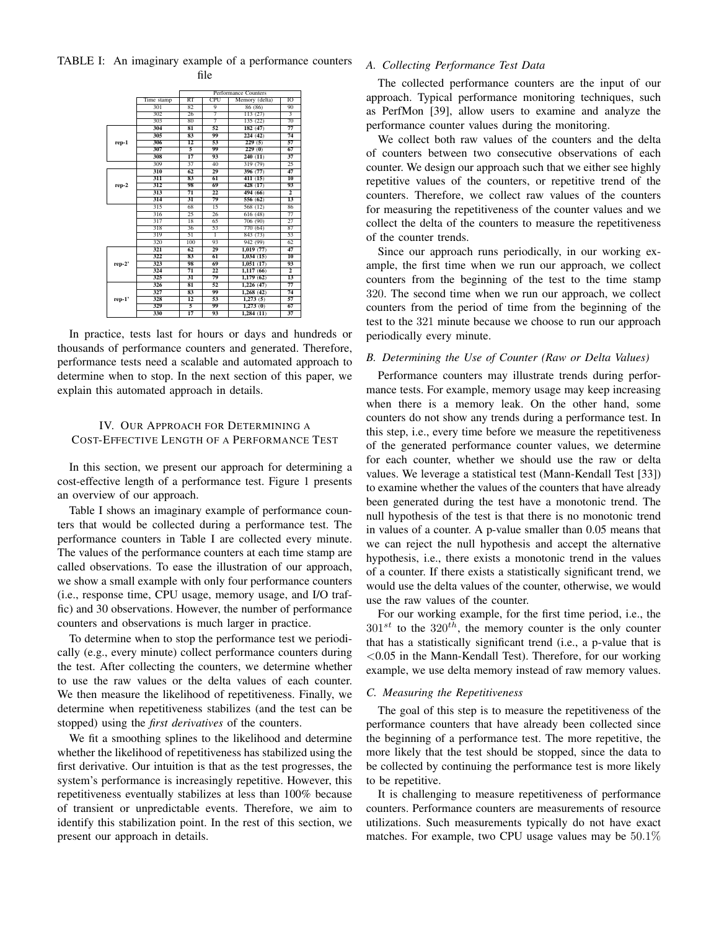TABLE I: An imaginary example of a performance counters file



In practice, tests last for hours or days and hundreds or thousands of performance counters and generated. Therefore, performance tests need a scalable and automated approach to determine when to stop. In the next section of this paper, we explain this automated approach in details.

# IV. OUR APPROACH FOR DETERMINING A COST-EFFECTIVE LENGTH OF A PERFORMANCE TEST

In this section, we present our approach for determining a cost-effective length of a performance test. Figure 1 presents an overview of our approach.

Table I shows an imaginary example of performance counters that would be collected during a performance test. The performance counters in Table I are collected every minute. The values of the performance counters at each time stamp are called observations. To ease the illustration of our approach, we show a small example with only four performance counters (i.e., response time, CPU usage, memory usage, and I/O traffic) and 30 observations. However, the number of performance counters and observations is much larger in practice.

To determine when to stop the performance test we periodically (e.g., every minute) collect performance counters during the test. After collecting the counters, we determine whether to use the raw values or the delta values of each counter. We then measure the likelihood of repetitiveness. Finally, we determine when repetitiveness stabilizes (and the test can be stopped) using the *first derivatives* of the counters.

We fit a smoothing splines to the likelihood and determine whether the likelihood of repetitiveness has stabilized using the first derivative. Our intuition is that as the test progresses, the system's performance is increasingly repetitive. However, this repetitiveness eventually stabilizes at less than 100% because of transient or unpredictable events. Therefore, we aim to identify this stabilization point. In the rest of this section, we present our approach in details.

## *A. Collecting Performance Test Data*

The collected performance counters are the input of our approach. Typical performance monitoring techniques, such as PerfMon [39], allow users to examine and analyze the performance counter values during the monitoring.

We collect both raw values of the counters and the delta of counters between two consecutive observations of each counter. We design our approach such that we either see highly repetitive values of the counters, or repetitive trend of the counters. Therefore, we collect raw values of the counters for measuring the repetitiveness of the counter values and we collect the delta of the counters to measure the repetitiveness of the counter trends.

Since our approach runs periodically, in our working example, the first time when we run our approach, we collect counters from the beginning of the test to the time stamp 320. The second time when we run our approach, we collect counters from the period of time from the beginning of the test to the 321 minute because we choose to run our approach periodically every minute.

#### *B. Determining the Use of Counter (Raw or Delta Values)*

Performance counters may illustrate trends during performance tests. For example, memory usage may keep increasing when there is a memory leak. On the other hand, some counters do not show any trends during a performance test. In this step, i.e., every time before we measure the repetitiveness of the generated performance counter values, we determine for each counter, whether we should use the raw or delta values. We leverage a statistical test (Mann-Kendall Test [33]) to examine whether the values of the counters that have already been generated during the test have a monotonic trend. The null hypothesis of the test is that there is no monotonic trend in values of a counter. A p-value smaller than 0.05 means that we can reject the null hypothesis and accept the alternative hypothesis, i.e., there exists a monotonic trend in the values of a counter. If there exists a statistically significant trend, we would use the delta values of the counter, otherwise, we would use the raw values of the counter.

For our working example, for the first time period, i.e., the  $301^{st}$  to the  $320^{th}$ , the memory counter is the only counter that has a statistically significant trend (i.e., a p-value that is *<*0.05 in the Mann-Kendall Test). Therefore, for our working example, we use delta memory instead of raw memory values.

#### *C. Measuring the Repetitiveness*

The goal of this step is to measure the repetitiveness of the performance counters that have already been collected since the beginning of a performance test. The more repetitive, the more likely that the test should be stopped, since the data to be collected by continuing the performance test is more likely to be repetitive.

It is challenging to measure repetitiveness of performance counters. Performance counters are measurements of resource utilizations. Such measurements typically do not have exact matches. For example, two CPU usage values may be 50*.*1%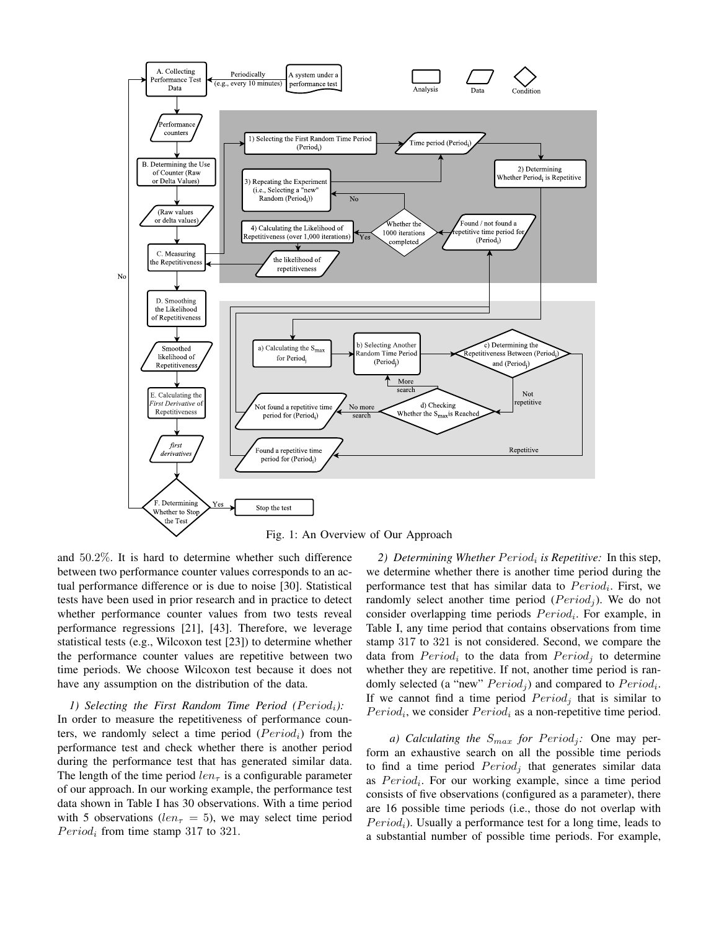

Fig. 1: An Overview of Our Approach

and 50*.*2%. It is hard to determine whether such difference between two performance counter values corresponds to an actual performance difference or is due to noise [30]. Statistical tests have been used in prior research and in practice to detect whether performance counter values from two tests reveal performance regressions [21], [43]. Therefore, we leverage statistical tests (e.g., Wilcoxon test [23]) to determine whether the performance counter values are repetitive between two time periods. We choose Wilcoxon test because it does not have any assumption on the distribution of the data.

# *1)* Selecting the First Random Time Period (Period<sub>*i*</sub>):

In order to measure the repetitiveness of performance counters, we randomly select a time period  $(Period<sub>i</sub>)$  from the performance test and check whether there is another period during the performance test that has generated similar data. The length of the time period  $len_{\tau}$  is a configurable parameter of our approach. In our working example, the performance test data shown in Table I has 30 observations. With a time period with 5 observations ( $len_\tau = 5$ ), we may select time period *Period<sub>i</sub>* from time stamp 317 to 321.

2) *Determining Whether Period<sub>i</sub> is Repetitive:* In this step, we determine whether there is another time period during the performance test that has similar data to  $Period<sub>i</sub>$ . First, we randomly select another time period  $(Period<sub>i</sub>)$ . We do not consider overlapping time periods  $Period<sub>i</sub>$ . For example, in Table I, any time period that contains observations from time stamp 317 to 321 is not considered. Second, we compare the data from  $Period_i$  to the data from  $Period_i$  to determine whether they are repetitive. If not, another time period is randomly selected (a "new"  $Period<sub>i</sub>$ ) and compared to  $Period<sub>i</sub>$ . If we cannot find a time period  $Period<sub>j</sub>$  that is similar to  $Period<sub>i</sub>$ , we consider  $Period<sub>i</sub>$  as a non-repetitive time period.

*a)* Calculating the  $S_{max}$  for  $Period_i$ : One may perform an exhaustive search on all the possible time periods to find a time period  $Period<sub>j</sub>$  that generates similar data as *Period<sub>i</sub>*. For our working example, since a time period consists of five observations (configured as a parameter), there are 16 possible time periods (i.e., those do not overlap with *Period<sub>i</sub>*). Usually a performance test for a long time, leads to a substantial number of possible time periods. For example,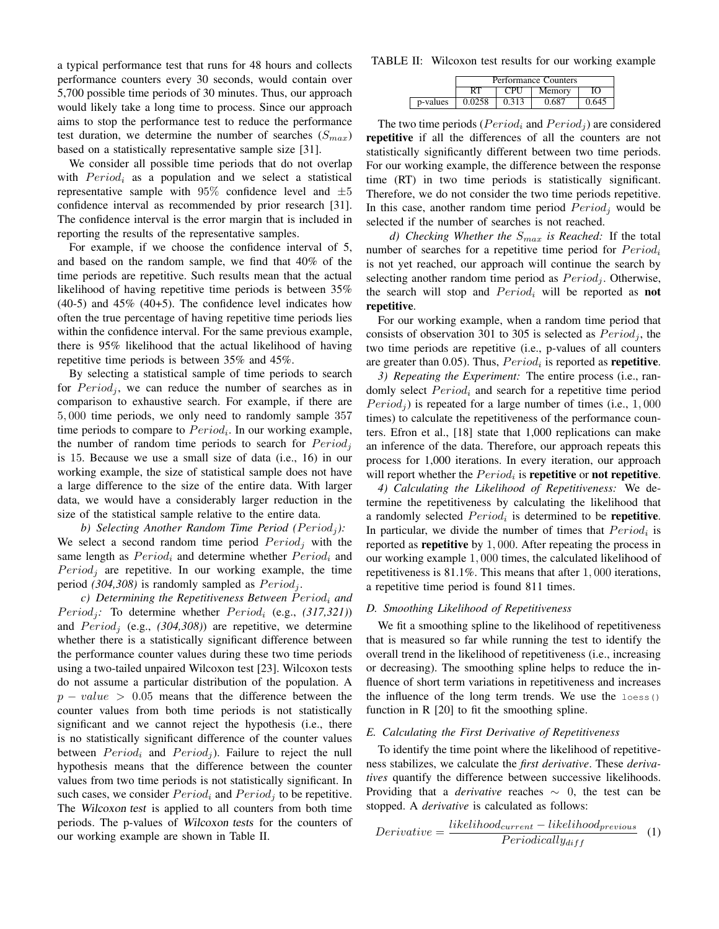a typical performance test that runs for 48 hours and collects performance counters every 30 seconds, would contain over 5,700 possible time periods of 30 minutes. Thus, our approach would likely take a long time to process. Since our approach aims to stop the performance test to reduce the performance test duration, we determine the number of searches  $(S_{max})$ based on a statistically representative sample size [31].

We consider all possible time periods that do not overlap with  $Period<sub>i</sub>$  as a population and we select a statistical representative sample with 95% confidence level and *±*5 confidence interval as recommended by prior research [31]. The confidence interval is the error margin that is included in reporting the results of the representative samples.

For example, if we choose the confidence interval of 5, and based on the random sample, we find that 40% of the time periods are repetitive. Such results mean that the actual likelihood of having repetitive time periods is between 35%  $(40-5)$  and  $45\%$   $(40+5)$ . The confidence level indicates how often the true percentage of having repetitive time periods lies within the confidence interval. For the same previous example, there is 95% likelihood that the actual likelihood of having repetitive time periods is between 35% and 45%.

By selecting a statistical sample of time periods to search for  $Period<sub>i</sub>$ , we can reduce the number of searches as in comparison to exhaustive search. For example, if there are 5*,* 000 time periods, we only need to randomly sample 357 time periods to compare to  $Period<sub>i</sub>$ . In our working example, the number of random time periods to search for  $Period_i$ is 15. Because we use a small size of data (i.e., 16) in our working example, the size of statistical sample does not have a large difference to the size of the entire data. With larger data, we would have a considerably larger reduction in the size of the statistical sample relative to the entire data.

*b)* Selecting Another Random Time Period ( $Period<sub>j</sub>$ ): We select a second random time period  $Period<sub>j</sub>$  with the same length as  $Period<sub>i</sub>$  and determine whether  $Period<sub>i</sub>$  and  $Period<sub>i</sub>$  are repetitive. In our working example, the time period (304,308) is randomly sampled as  $Period_i$ .

*c*) Determining the Repetitiveness Between Period<sub>i</sub> and *Period<sub>i</sub>*: To determine whether *Period<sub>i</sub>* (e.g., *(317,321)*) and  $Period_i$  (e.g.,  $(304,308)$ ) are repetitive, we determine whether there is a statistically significant difference between the performance counter values during these two time periods using a two-tailed unpaired Wilcoxon test [23]. Wilcoxon tests do not assume a particular distribution of the population. A  $p - value > 0.05$  means that the difference between the counter values from both time periods is not statistically significant and we cannot reject the hypothesis (i.e., there is no statistically significant difference of the counter values between  $Period_i$  and  $Period_j$ ). Failure to reject the null hypothesis means that the difference between the counter values from two time periods is not statistically significant. In such cases, we consider  $Period<sub>i</sub>$  and  $Period<sub>j</sub>$  to be repetitive. The *Wilcoxon test* is applied to all counters from both time periods. The p-values of *Wilcoxon tests* for the counters of our working example are shown in Table II.

TABLE II: Wilcoxon test results for our working example

|          |        | Performance Counters |        |       |  |  |  |  |  |
|----------|--------|----------------------|--------|-------|--|--|--|--|--|
|          |        | <b>CPU</b>           | Memory | Ю     |  |  |  |  |  |
| p-values | 0.0258 | 0.313                | 0.687  | 0.645 |  |  |  |  |  |

The two time periods ( $Period<sub>i</sub>$  and  $Period<sub>j</sub>$ ) are considered repetitive if all the differences of all the counters are not statistically significantly different between two time periods. For our working example, the difference between the response time (RT) in two time periods is statistically significant. Therefore, we do not consider the two time periods repetitive. In this case, another random time period  $Period<sub>j</sub>$  would be selected if the number of searches is not reached.

*d) Checking Whether the Smax is Reached:* If the total number of searches for a repetitive time period for  $Period_i$ is not yet reached, our approach will continue the search by selecting another random time period as  $Period<sub>i</sub>$ . Otherwise, the search will stop and  $Period<sub>i</sub>$  will be reported as **not** repetitive.

For our working example, when a random time period that consists of observation 301 to 305 is selected as  $Period<sub>i</sub>$ , the two time periods are repetitive (i.e., p-values of all counters are greater than 0.05). Thus, *P eriod<sup>i</sup>* is reported as repetitive.

*3) Repeating the Experiment:* The entire process (i.e., randomly select *Period<sub>i</sub>* and search for a repetitive time period  $Period<sub>i</sub>$ ) is repeated for a large number of times (i.e., 1,000) times) to calculate the repetitiveness of the performance counters. Efron et al., [18] state that 1,000 replications can make an inference of the data. Therefore, our approach repeats this process for 1,000 iterations. In every iteration, our approach will report whether the  $Period<sub>i</sub>$  is **repetitive** or **not repetitive**.

*4) Calculating the Likelihood of Repetitiveness:* We determine the repetitiveness by calculating the likelihood that a randomly selected *Period<sub>i</sub>* is determined to be **repetitive**. In particular, we divide the number of times that  $Period_i$  is reported as repetitive by 1*,* 000. After repeating the process in our working example 1*,* 000 times, the calculated likelihood of repetitiveness is 81.1%. This means that after 1*,* 000 iterations, a repetitive time period is found 811 times.

# *D. Smoothing Likelihood of Repetitiveness*

We fit a smoothing spline to the likelihood of repetitiveness that is measured so far while running the test to identify the overall trend in the likelihood of repetitiveness (i.e., increasing or decreasing). The smoothing spline helps to reduce the influence of short term variations in repetitiveness and increases the influence of the long term trends. We use the loess() function in R [20] to fit the smoothing spline.

# *E. Calculating the First Derivative of Repetitiveness*

To identify the time point where the likelihood of repetitiveness stabilizes, we calculate the *first derivative*. These *derivatives* quantify the difference between successive likelihoods. Providing that a *derivative* reaches  $\sim$  0, the test can be stopped. A *derivative* is calculated as follows:

$$
Derivative = \frac{likelihood_{current} - likelihood_{previous}}{Periodically_{diff}} \quad (1)
$$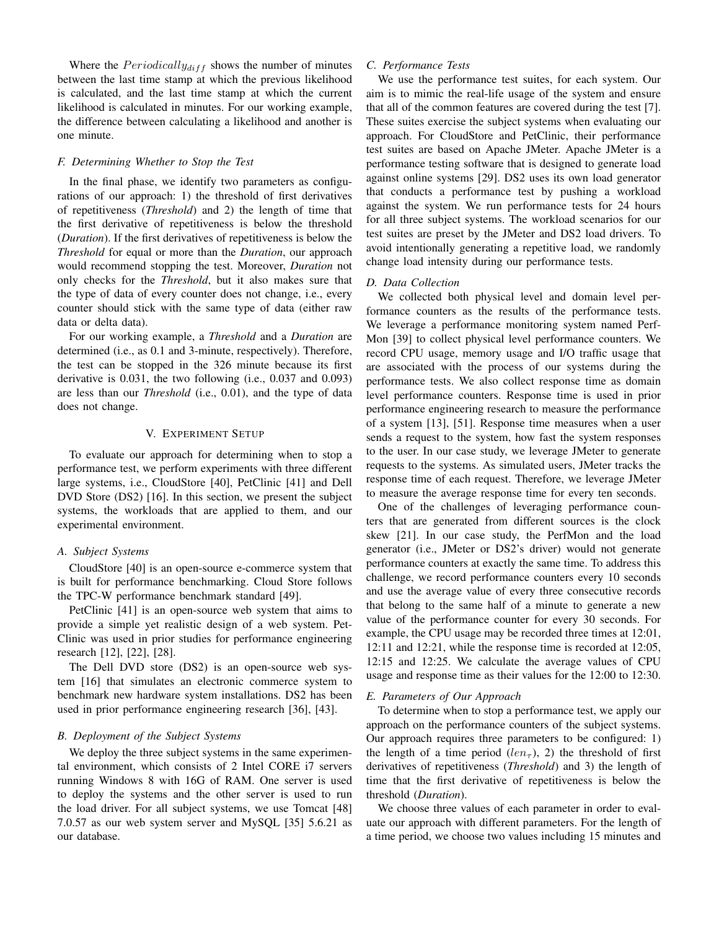Where the *Periodically<sub>diff</sub>* shows the number of minutes between the last time stamp at which the previous likelihood is calculated, and the last time stamp at which the current likelihood is calculated in minutes. For our working example, the difference between calculating a likelihood and another is one minute.

## *F. Determining Whether to Stop the Test*

In the final phase, we identify two parameters as configurations of our approach: 1) the threshold of first derivatives of repetitiveness (*Threshold*) and 2) the length of time that the first derivative of repetitiveness is below the threshold (*Duration*). If the first derivatives of repetitiveness is below the *Threshold* for equal or more than the *Duration*, our approach would recommend stopping the test. Moreover, *Duration* not only checks for the *Threshold*, but it also makes sure that the type of data of every counter does not change, i.e., every counter should stick with the same type of data (either raw data or delta data).

For our working example, a *Threshold* and a *Duration* are determined (i.e., as 0.1 and 3-minute, respectively). Therefore, the test can be stopped in the 326 minute because its first derivative is 0.031, the two following (i.e., 0.037 and 0.093) are less than our *Threshold* (i.e., 0.01), and the type of data does not change.

## V. EXPERIMENT SETUP

To evaluate our approach for determining when to stop a performance test, we perform experiments with three different large systems, i.e., CloudStore [40], PetClinic [41] and Dell DVD Store (DS2) [16]. In this section, we present the subject systems, the workloads that are applied to them, and our experimental environment.

#### *A. Subject Systems*

CloudStore [40] is an open-source e-commerce system that is built for performance benchmarking. Cloud Store follows the TPC-W performance benchmark standard [49].

PetClinic [41] is an open-source web system that aims to provide a simple yet realistic design of a web system. Pet-Clinic was used in prior studies for performance engineering research [12], [22], [28].

The Dell DVD store (DS2) is an open-source web system [16] that simulates an electronic commerce system to benchmark new hardware system installations. DS2 has been used in prior performance engineering research [36], [43].

## *B. Deployment of the Subject Systems*

We deploy the three subject systems in the same experimental environment, which consists of 2 Intel CORE i7 servers running Windows 8 with 16G of RAM. One server is used to deploy the systems and the other server is used to run the load driver. For all subject systems, we use Tomcat [48] 7.0.57 as our web system server and MySQL [35] 5.6.21 as our database.

## *C. Performance Tests*

We use the performance test suites, for each system. Our aim is to mimic the real-life usage of the system and ensure that all of the common features are covered during the test [7]. These suites exercise the subject systems when evaluating our approach. For CloudStore and PetClinic, their performance test suites are based on Apache JMeter. Apache JMeter is a performance testing software that is designed to generate load against online systems [29]. DS2 uses its own load generator that conducts a performance test by pushing a workload against the system. We run performance tests for 24 hours for all three subject systems. The workload scenarios for our test suites are preset by the JMeter and DS2 load drivers. To avoid intentionally generating a repetitive load, we randomly change load intensity during our performance tests.

## *D. Data Collection*

We collected both physical level and domain level performance counters as the results of the performance tests. We leverage a performance monitoring system named Perf-Mon [39] to collect physical level performance counters. We record CPU usage, memory usage and I/O traffic usage that are associated with the process of our systems during the performance tests. We also collect response time as domain level performance counters. Response time is used in prior performance engineering research to measure the performance of a system [13], [51]. Response time measures when a user sends a request to the system, how fast the system responses to the user. In our case study, we leverage JMeter to generate requests to the systems. As simulated users, JMeter tracks the response time of each request. Therefore, we leverage JMeter to measure the average response time for every ten seconds.

One of the challenges of leveraging performance counters that are generated from different sources is the clock skew [21]. In our case study, the PerfMon and the load generator (i.e., JMeter or DS2's driver) would not generate performance counters at exactly the same time. To address this challenge, we record performance counters every 10 seconds and use the average value of every three consecutive records that belong to the same half of a minute to generate a new value of the performance counter for every 30 seconds. For example, the CPU usage may be recorded three times at 12:01, 12:11 and 12:21, while the response time is recorded at 12:05, 12:15 and 12:25. We calculate the average values of CPU usage and response time as their values for the 12:00 to 12:30.

## *E. Parameters of Our Approach*

To determine when to stop a performance test, we apply our approach on the performance counters of the subject systems. Our approach requires three parameters to be configured: 1) the length of a time period  $(len_\tau)$ , 2) the threshold of first derivatives of repetitiveness (*Threshold*) and 3) the length of time that the first derivative of repetitiveness is below the threshold (*Duration*).

We choose three values of each parameter in order to evaluate our approach with different parameters. For the length of a time period, we choose two values including 15 minutes and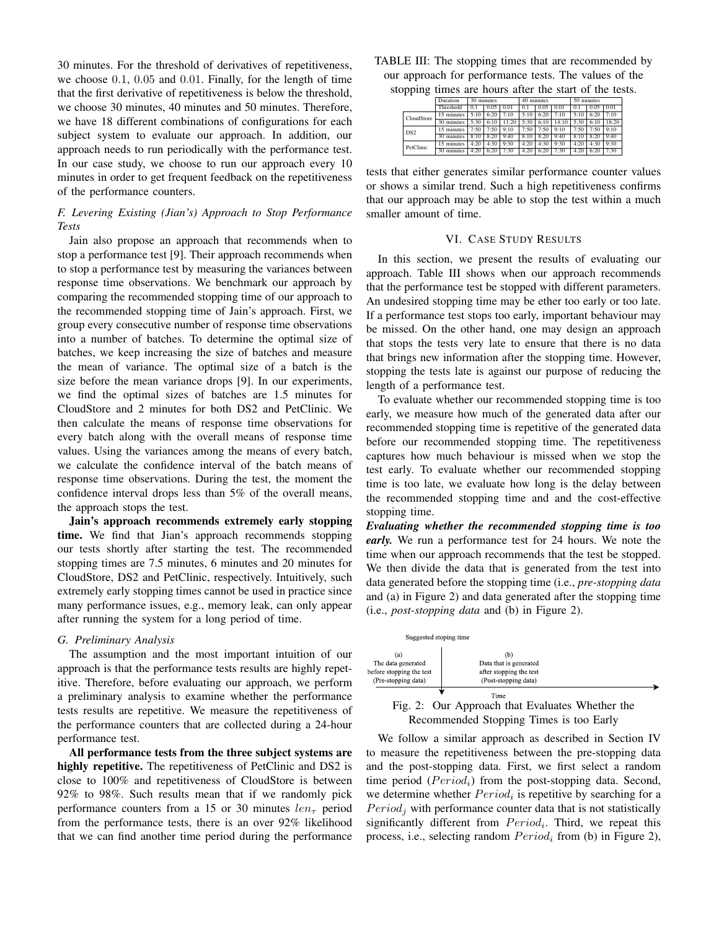30 minutes. For the threshold of derivatives of repetitiveness, we choose 0*.*1, 0*.*05 and 0*.*01. Finally, for the length of time that the first derivative of repetitiveness is below the threshold, we choose 30 minutes, 40 minutes and 50 minutes. Therefore, we have 18 different combinations of configurations for each subject system to evaluate our approach. In addition, our approach needs to run periodically with the performance test. In our case study, we choose to run our approach every 10 minutes in order to get frequent feedback on the repetitiveness of the performance counters.

# *F. Levering Existing (Jian's) Approach to Stop Performance Tests*

Jain also propose an approach that recommends when to stop a performance test [9]. Their approach recommends when to stop a performance test by measuring the variances between response time observations. We benchmark our approach by comparing the recommended stopping time of our approach to the recommended stopping time of Jain's approach. First, we group every consecutive number of response time observations into a number of batches. To determine the optimal size of batches, we keep increasing the size of batches and measure the mean of variance. The optimal size of a batch is the size before the mean variance drops [9]. In our experiments, we find the optimal sizes of batches are 1.5 minutes for CloudStore and 2 minutes for both DS2 and PetClinic. We then calculate the means of response time observations for every batch along with the overall means of response time values. Using the variances among the means of every batch, we calculate the confidence interval of the batch means of response time observations. During the test, the moment the confidence interval drops less than 5% of the overall means, the approach stops the test.

Jain's approach recommends extremely early stopping time. We find that Jian's approach recommends stopping our tests shortly after starting the test. The recommended stopping times are 7.5 minutes, 6 minutes and 20 minutes for CloudStore, DS2 and PetClinic, respectively. Intuitively, such extremely early stopping times cannot be used in practice since many performance issues, e.g., memory leak, can only appear after running the system for a long period of time.

## *G. Preliminary Analysis*

The assumption and the most important intuition of our approach is that the performance tests results are highly repetitive. Therefore, before evaluating our approach, we perform a preliminary analysis to examine whether the performance tests results are repetitive. We measure the repetitiveness of the performance counters that are collected during a 24-hour performance test.

All performance tests from the three subject systems are highly repetitive. The repetitiveness of PetClinic and DS2 is close to 100% and repetitiveness of CloudStore is between 92% to 98%. Such results mean that if we randomly pick performance counters from a 15 or 30 minutes  $len_{\tau}$  period from the performance tests, there is an over 92% likelihood that we can find another time period during the performance

| TABLE III: The stopping times that are recommended by |  |  |  |  |
|-------------------------------------------------------|--|--|--|--|
| our approach for performance tests. The values of the |  |  |  |  |
|                                                       |  |  |  |  |

stopping times are hours after the start of the tests.

|                 | Duration   |      | 30 minutes |       |      | $40$ minutes |       |      | $50$ minutes |       |  |
|-----------------|------------|------|------------|-------|------|--------------|-------|------|--------------|-------|--|
|                 | Threshold  | 0.1  | 0.05       | 0.01  | 0.1  | 0.05         | 0.01  | 0.1  | 0.05         | 0.01  |  |
| CloudStore      | 15 minutes | 5:10 | 6:20       | 7:10  | 5:10 | 6:20         | 7:10  | 5:10 | 6:20         | 7:10  |  |
|                 | 30 minutes | 5:30 | 6:10       | 11:20 | 5:30 | 6:10         | 14:10 | 5:30 | 6:10         | 18:20 |  |
| DS <sub>2</sub> | 15 minutes | 7:50 | 7:50       | 9:10  | 7:50 | 7:50         | 9:10  | 7:50 | 7:50         | 9:10  |  |
|                 | 30 minutes | 8:10 | 8:20       | 9:40  | 8:10 | 8:20         | 9:40  | 8:10 | 8:20         | 9:40  |  |
| PetClinic       | 15 minutes | 4:20 | 4:30       | 9:30  | 4:20 | 4:30         | 9:30  | 4:20 | 4:30         | 9:30  |  |
|                 | 30 minutes | 4:20 | 6:20       | 7:30  | 4:20 | 6:20         | 7:30  | 4:20 | 6:20         | 7:30  |  |

tests that either generates similar performance counter values or shows a similar trend. Such a high repetitiveness confirms that our approach may be able to stop the test within a much smaller amount of time.

## VI. CASE STUDY RESULTS

In this section, we present the results of evaluating our approach. Table III shows when our approach recommends that the performance test be stopped with different parameters. An undesired stopping time may be ether too early or too late. If a performance test stops too early, important behaviour may be missed. On the other hand, one may design an approach that stops the tests very late to ensure that there is no data that brings new information after the stopping time. However, stopping the tests late is against our purpose of reducing the length of a performance test.

To evaluate whether our recommended stopping time is too early, we measure how much of the generated data after our recommended stopping time is repetitive of the generated data before our recommended stopping time. The repetitiveness captures how much behaviour is missed when we stop the test early. To evaluate whether our recommended stopping time is too late, we evaluate how long is the delay between the recommended stopping time and and the cost-effective stopping time.

*Evaluating whether the recommended stopping time is too early.* We run a performance test for 24 hours. We note the time when our approach recommends that the test be stopped. We then divide the data that is generated from the test into data generated before the stopping time (i.e., *pre-stopping data* and (a) in Figure 2) and data generated after the stopping time (i.e., *post-stopping data* and (b) in Figure 2).

| Suggested stoping time                                                       |                                                                                  |  |
|------------------------------------------------------------------------------|----------------------------------------------------------------------------------|--|
| (a)<br>The data generated<br>before stopping the test<br>(Pre-stopping data) | (b)<br>Data that is generated<br>after stopping the test<br>(Post-stopping data) |  |
|                                                                              | Time                                                                             |  |



We follow a similar approach as described in Section IV to measure the repetitiveness between the pre-stopping data and the post-stopping data. First, we first select a random time period (*Period<sub>i</sub>*) from the post-stopping data. Second, we determine whether  $Period<sub>i</sub>$  is repetitive by searching for a  $Period<sub>i</sub>$  with performance counter data that is not statistically significantly different from  $Period<sub>i</sub>$ . Third, we repeat this process, i.e., selecting random  $Period<sub>i</sub>$  from (b) in Figure 2),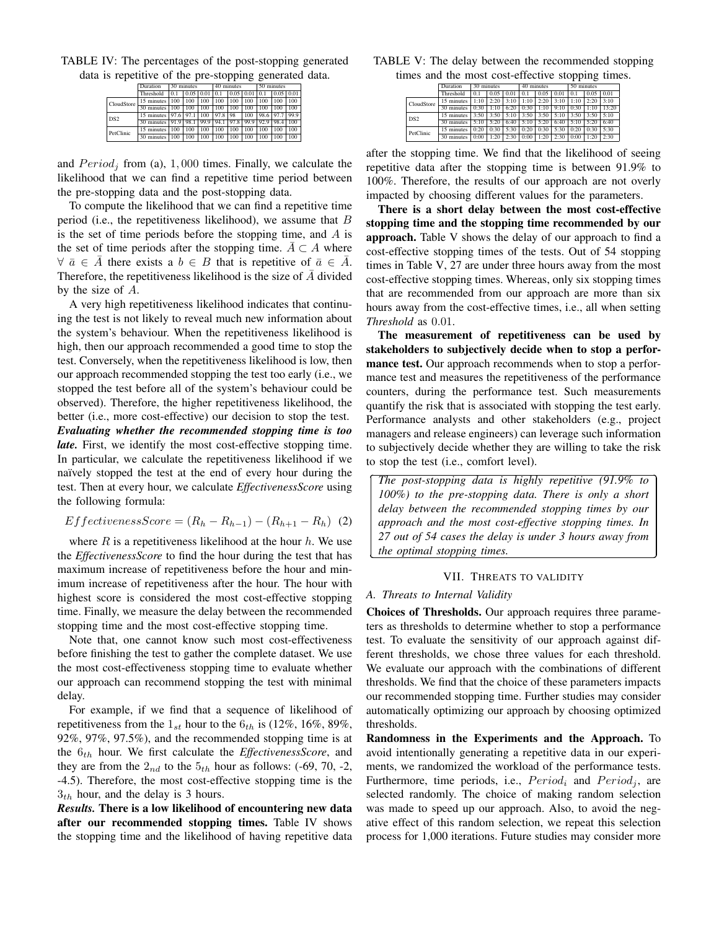TABLE IV: The percentages of the post-stopping generated data is repetitive of the pre-stopping generated data.

|  |                 | Duration                 | 30 minutes |     | 40 minutes      |      |                  | 50 minutes |      |                  |      |
|--|-----------------|--------------------------|------------|-----|-----------------|------|------------------|------------|------|------------------|------|
|  |                 | Threshold                | 0.1        |     | $0.05$ 0.01 0.1 |      | $0.05 \mid 0.01$ |            | 0.1  | $0.05 \mid 0.01$ |      |
|  | CloudStore      | 15 minutes               | 100        | 100 | 100             | 100  | 100              | 100        | 100  | 100              | 100  |
|  |                 | 30 minutes               | 100        | 100 | 100             | 100  | 100              | 100        | 100  | 100              | 100  |
|  | DS <sub>2</sub> | 15 minutes   97.6   97.1 |            |     | 100             | 97.8 | 198              | 100        |      | 98.6 97.7        | 99.9 |
|  |                 | 30 minutes   91.9   98.1 |            |     | 99.9            | 94.1 | 97.8             | 99.9       | 92.9 | 98.4             | 100  |
|  | PetClinic       | 15 minutes               | 100        | 100 | 100             | 100  | 100              | 100        | 100  | 100              | 100  |
|  |                 | 30 minutes               | 100        | 100 | 100             | 100  | 100              | 100        | 100  | 100              | 100  |

and  $Period_j$  from (a),  $1,000$  times. Finally, we calculate the likelihood that we can find a repetitive time period between the pre-stopping data and the post-stopping data.

To compute the likelihood that we can find a repetitive time period (i.e., the repetitiveness likelihood), we assume that *B* is the set of time periods before the stopping time, and *A* is the set of time periods after the stopping time.  $A \subset A$  where  $\forall \bar{a} \in A$  there exists a  $b \in B$  that is repetitive of  $\bar{a} \in A$ . Therefore, the repetitiveness likelihood is the size of  $\overline{A}$  divided by the size of *A*.

A very high repetitiveness likelihood indicates that continuing the test is not likely to reveal much new information about the system's behaviour. When the repetitiveness likelihood is high, then our approach recommended a good time to stop the test. Conversely, when the repetitiveness likelihood is low, then our approach recommended stopping the test too early (i.e., we stopped the test before all of the system's behaviour could be observed). Therefore, the higher repetitiveness likelihood, the better (i.e., more cost-effective) our decision to stop the test. *Evaluating whether the recommended stopping time is too late.* First, we identify the most cost-effective stopping time. In particular, we calculate the repetitiveness likelihood if we naïvely stopped the test at the end of every hour during the test. Then at every hour, we calculate *EffectivenessScore* using the following formula:

$$
EffectivenessScore = (R_h - R_{h-1}) - (R_{h+1} - R_h)
$$
 (2)

where  $R$  is a repetitiveness likelihood at the hour  $h$ . We use the *EffectivenessScore* to find the hour during the test that has maximum increase of repetitiveness before the hour and minimum increase of repetitiveness after the hour. The hour with highest score is considered the most cost-effective stopping time. Finally, we measure the delay between the recommended stopping time and the most cost-effective stopping time.

Note that, one cannot know such most cost-effectiveness before finishing the test to gather the complete dataset. We use the most cost-effectiveness stopping time to evaluate whether our approach can recommend stopping the test with minimal delay.

For example, if we find that a sequence of likelihood of repetitiveness from the  $1_{st}$  hour to the  $6_{th}$  is (12%, 16%, 89%, 92%, 97%, 97.5%), and the recommended stopping time is at the 6*th* hour. We first calculate the *EffectivenessScore*, and they are from the  $2_{nd}$  to the  $5_{th}$  hour as follows: (-69, 70, -2, -4.5). Therefore, the most cost-effective stopping time is the  $3<sub>th</sub>$  hour, and the delay is 3 hours.

*Results.* There is a low likelihood of encountering new data after our recommended stopping times. Table IV shows the stopping time and the likelihood of having repetitive data

TABLE V: The delay between the recommended stopping times and the most cost-effective stopping times.

|                 | Duration     | 30 minutes  |               | 40 minutes |      |                 | 50 minutes    |                   |             |       |
|-----------------|--------------|-------------|---------------|------------|------|-----------------|---------------|-------------------|-------------|-------|
|                 | Threshold    | 0.1         | 0.05          | 0.01       | 0.1  | $0.05 \pm 0.01$ |               | 0.1               | $0.05$ 0.01 |       |
| CloudStore      | 15 minutes   |             | $1:10$   2:20 | 3:10       | 1:10 | 2:20            | 3:10          | 1:10              | 2:20        | 3:10  |
|                 | 30 minutes   | 0:30        | 1:10          | 6:20       | 0:30 | 1:10            |               | $9:10$ $0:30$     | 1:10        | 13:20 |
| DS <sub>2</sub> | 15 minutes   | $3:50$      | 3:50          | 5:10       | 3:50 |                 | $3:50$   5:10 | 3:50              | 3:50        | 5:10  |
|                 | $30$ minutes | 5:10        | 5:20          | 6:40       | 5:10 | 5:20            | 6:40          | 5:10              | 5:20        | 6:40  |
| PetClinic       | 15 minutes   | $0:20$ 0:30 |               | 5:30       | 0:20 | 0:30            |               | $5:30 \quad 0:20$ | 0:30        | 5:30  |
|                 | 30 minutes   | 0:00        | 1:20          | 2:30       | 0:00 | 1:20            | 2:30          | 0:00              | 1:20        | 2:30  |

after the stopping time. We find that the likelihood of seeing repetitive data after the stopping time is between 91.9% to 100%. Therefore, the results of our approach are not overly impacted by choosing different values for the parameters.

There is a short delay between the most cost-effective stopping time and the stopping time recommended by our approach. Table V shows the delay of our approach to find a cost-effective stopping times of the tests. Out of 54 stopping times in Table V, 27 are under three hours away from the most cost-effective stopping times. Whereas, only six stopping times that are recommended from our approach are more than six hours away from the cost-effective times, i.e., all when setting *Threshold* as 0*.*01.

The measurement of repetitiveness can be used by stakeholders to subjectively decide when to stop a performance test. Our approach recommends when to stop a performance test and measures the repetitiveness of the performance counters, during the performance test. Such measurements quantify the risk that is associated with stopping the test early. Performance analysts and other stakeholders (e.g., project managers and release engineers) can leverage such information to subjectively decide whether they are willing to take the risk to stop the test (i.e., comfort level).

*The post-stopping data is highly repetitive (91.9% to 100%) to the pre-stopping data. There is only a short delay between the recommended stopping times by our approach and the most cost-effective stopping times. In 27 out of 54 cases the delay is under 3 hours away from the optimal stopping times.*

Ĭ.

 $\overline{a}$ 

# VII. THREATS TO VALIDITY

## *A. Threats to Internal Validity*

⇤

 $\overline{a}$ 

Choices of Thresholds. Our approach requires three parameters as thresholds to determine whether to stop a performance test. To evaluate the sensitivity of our approach against different thresholds, we chose three values for each threshold. We evaluate our approach with the combinations of different thresholds. We find that the choice of these parameters impacts our recommended stopping time. Further studies may consider automatically optimizing our approach by choosing optimized thresholds.

Randomness in the Experiments and the Approach. To avoid intentionally generating a repetitive data in our experiments, we randomized the workload of the performance tests. Furthermore, time periods, i.e.,  $Period_i$  and  $Period_j$ , are selected randomly. The choice of making random selection was made to speed up our approach. Also, to avoid the negative effect of this random selection, we repeat this selection process for 1,000 iterations. Future studies may consider more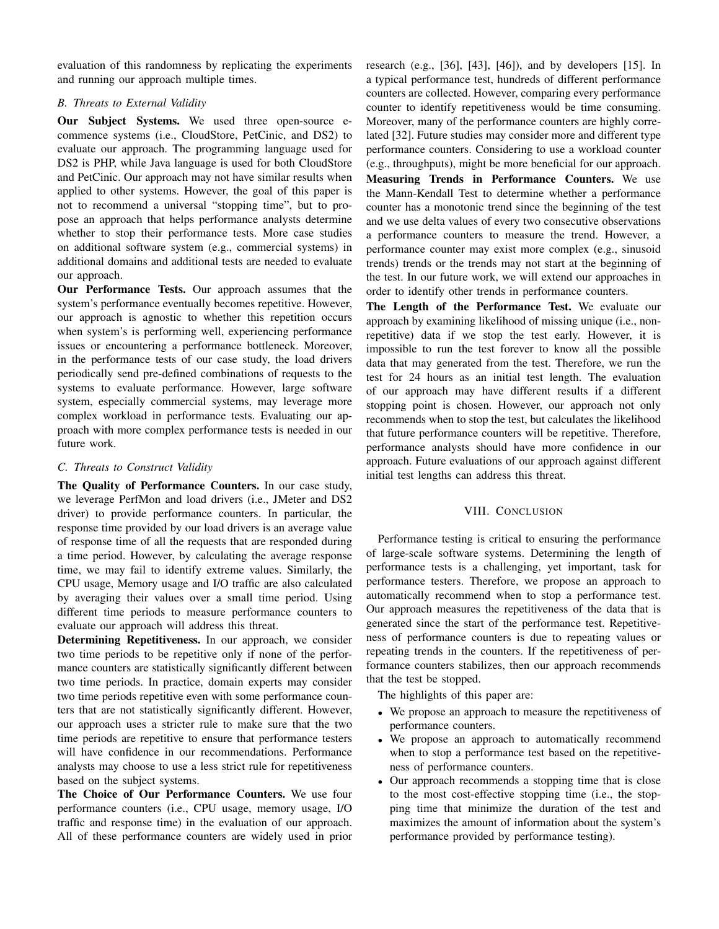evaluation of this randomness by replicating the experiments and running our approach multiple times.

# *B. Threats to External Validity*

Our Subject Systems. We used three open-source ecommence systems (i.e., CloudStore, PetCinic, and DS2) to evaluate our approach. The programming language used for DS2 is PHP, while Java language is used for both CloudStore and PetCinic. Our approach may not have similar results when applied to other systems. However, the goal of this paper is not to recommend a universal "stopping time", but to propose an approach that helps performance analysts determine whether to stop their performance tests. More case studies on additional software system (e.g., commercial systems) in additional domains and additional tests are needed to evaluate our approach.

Our Performance Tests. Our approach assumes that the system's performance eventually becomes repetitive. However, our approach is agnostic to whether this repetition occurs when system's is performing well, experiencing performance issues or encountering a performance bottleneck. Moreover, in the performance tests of our case study, the load drivers periodically send pre-defined combinations of requests to the systems to evaluate performance. However, large software system, especially commercial systems, may leverage more complex workload in performance tests. Evaluating our approach with more complex performance tests is needed in our future work.

## *C. Threats to Construct Validity*

The Quality of Performance Counters. In our case study, we leverage PerfMon and load drivers (i.e., JMeter and DS2 driver) to provide performance counters. In particular, the response time provided by our load drivers is an average value of response time of all the requests that are responded during a time period. However, by calculating the average response time, we may fail to identify extreme values. Similarly, the CPU usage, Memory usage and I/O traffic are also calculated by averaging their values over a small time period. Using different time periods to measure performance counters to evaluate our approach will address this threat.

Determining Repetitiveness. In our approach, we consider two time periods to be repetitive only if none of the performance counters are statistically significantly different between two time periods. In practice, domain experts may consider two time periods repetitive even with some performance counters that are not statistically significantly different. However, our approach uses a stricter rule to make sure that the two time periods are repetitive to ensure that performance testers will have confidence in our recommendations. Performance analysts may choose to use a less strict rule for repetitiveness based on the subject systems.

The Choice of Our Performance Counters. We use four performance counters (i.e., CPU usage, memory usage, I/O traffic and response time) in the evaluation of our approach. All of these performance counters are widely used in prior

research (e.g., [36], [43], [46]), and by developers [15]. In a typical performance test, hundreds of different performance counters are collected. However, comparing every performance counter to identify repetitiveness would be time consuming. Moreover, many of the performance counters are highly correlated [32]. Future studies may consider more and different type performance counters. Considering to use a workload counter (e.g., throughputs), might be more beneficial for our approach.

Measuring Trends in Performance Counters. We use the Mann-Kendall Test to determine whether a performance counter has a monotonic trend since the beginning of the test and we use delta values of every two consecutive observations a performance counters to measure the trend. However, a performance counter may exist more complex (e.g., sinusoid trends) trends or the trends may not start at the beginning of the test. In our future work, we will extend our approaches in order to identify other trends in performance counters.

The Length of the Performance Test. We evaluate our approach by examining likelihood of missing unique (i.e., nonrepetitive) data if we stop the test early. However, it is impossible to run the test forever to know all the possible data that may generated from the test. Therefore, we run the test for 24 hours as an initial test length. The evaluation of our approach may have different results if a different stopping point is chosen. However, our approach not only recommends when to stop the test, but calculates the likelihood that future performance counters will be repetitive. Therefore, performance analysts should have more confidence in our approach. Future evaluations of our approach against different initial test lengths can address this threat.

## VIII. CONCLUSION

Performance testing is critical to ensuring the performance of large-scale software systems. Determining the length of performance tests is a challenging, yet important, task for performance testers. Therefore, we propose an approach to automatically recommend when to stop a performance test. Our approach measures the repetitiveness of the data that is generated since the start of the performance test. Repetitiveness of performance counters is due to repeating values or repeating trends in the counters. If the repetitiveness of performance counters stabilizes, then our approach recommends that the test be stopped.

The highlights of this paper are:

- We propose an approach to measure the repetitiveness of performance counters.
- We propose an approach to automatically recommend when to stop a performance test based on the repetitiveness of performance counters.
- *•* Our approach recommends a stopping time that is close to the most cost-effective stopping time (i.e., the stopping time that minimize the duration of the test and maximizes the amount of information about the system's performance provided by performance testing).